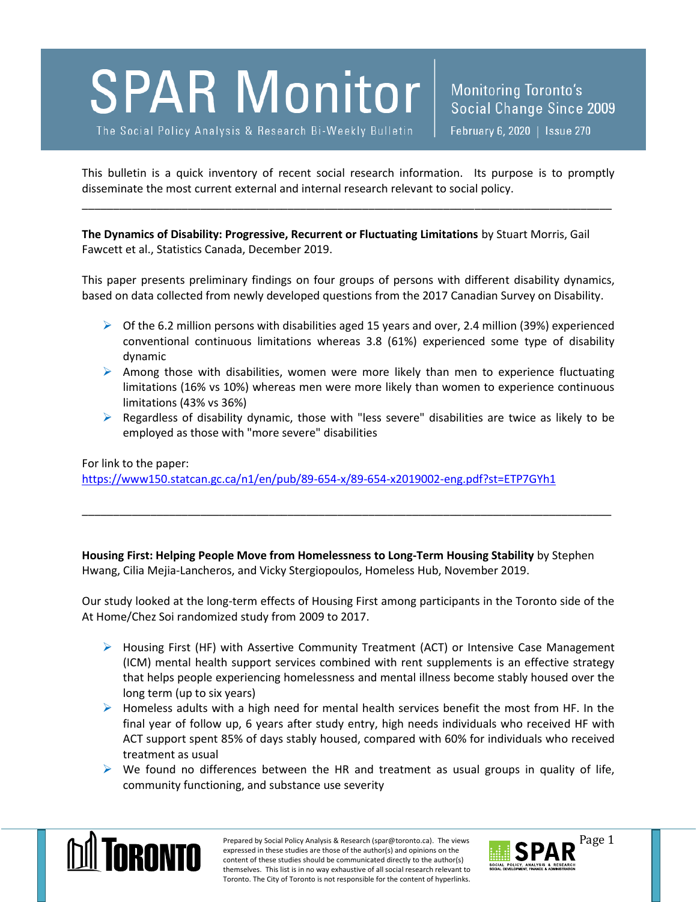## **SPAR Monitor**

The Social Policy Analysis & Research Bi-Weekly Bulletin

This bulletin is a quick inventory of recent social research information. Its purpose is to promptly disseminate the most current external and internal research relevant to social policy.

\_\_\_\_\_\_\_\_\_\_\_\_\_\_\_\_\_\_\_\_\_\_\_\_\_\_\_\_\_\_\_\_\_\_\_\_\_\_\_\_\_\_\_\_\_\_\_\_\_\_\_\_\_\_\_\_\_\_\_\_\_\_\_\_\_\_\_\_\_\_\_\_\_\_\_\_\_\_\_\_\_\_\_\_\_

**The Dynamics of Disability: Progressive, Recurrent or Fluctuating Limitations** by Stuart Morris, Gail Fawcett et al., Statistics Canada, December 2019.

This paper presents preliminary findings on four groups of persons with different disability dynamics, based on data collected from newly developed questions from the 2017 Canadian Survey on Disability.

- $\triangleright$  Of the 6.2 million persons with disabilities aged 15 years and over, 2.4 million (39%) experienced conventional continuous limitations whereas 3.8 (61%) experienced some type of disability dynamic
- $\triangleright$  Among those with disabilities, women were more likely than men to experience fluctuating limitations (16% vs 10%) whereas men were more likely than women to experience continuous limitations (43% vs 36%)
- $\triangleright$  Regardless of disability dynamic, those with "less severe" disabilities are twice as likely to be employed as those with "more severe" disabilities

For link to the paper:

<https://www150.statcan.gc.ca/n1/en/pub/89-654-x/89-654-x2019002-eng.pdf?st=ETP7GYh1>

**Housing First: Helping People Move from Homelessness to Long-Term Housing Stability** by Stephen Hwang, Cilia Mejia-Lancheros, and Vicky Stergiopoulos, Homeless Hub, November 2019.

\_\_\_\_\_\_\_\_\_\_\_\_\_\_\_\_\_\_\_\_\_\_\_\_\_\_\_\_\_\_\_\_\_\_\_\_\_\_\_\_\_\_\_\_\_\_\_\_\_\_\_\_\_\_\_\_\_\_\_\_\_\_\_\_\_\_\_\_\_\_\_\_\_\_\_\_\_\_\_\_\_\_\_\_\_

Our study looked at the long-term effects of Housing First among participants in the Toronto side of the At Home/Chez Soi randomized study from 2009 to 2017.

- $\triangleright$  Housing First (HF) with Assertive Community Treatment (ACT) or Intensive Case Management (ICM) mental health support services combined with rent supplements is an effective strategy that helps people experiencing homelessness and mental illness become stably housed over the long term (up to six years)
- $\triangleright$  Homeless adults with a high need for mental health services benefit the most from HF. In the final year of follow up, 6 years after study entry, high needs individuals who received HF with ACT support spent 85% of days stably housed, compared with 60% for individuals who received treatment as usual
- $\triangleright$  We found no differences between the HR and treatment as usual groups in quality of life, community functioning, and substance use severity



Prepared by Social Policy Analysis & Research (spar@toronto.ca). The views Page 1 expressed in these studies are those of the author(s) and opinions on the content of these studies should be communicated directly to the author(s) themselves. This list is in no way exhaustive of all social research relevant to Toronto. The City of Toronto is not responsible for the content of hyperlinks.

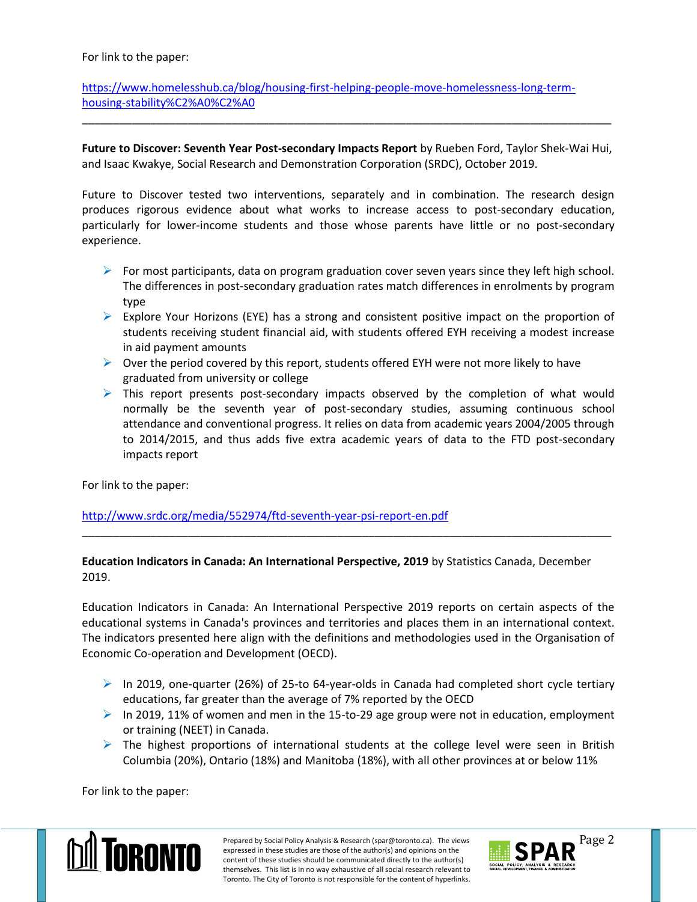For link to the paper:

[https://www.homelesshub.ca/blog/housing-first-helping-people-move-homelessness-long-term](https://www.homelesshub.ca/blog/housing-first-helping-people-move-homelessness-long-term-housing-stability%C2%A0%C2%A0)[housing-stability%C2%A0%C2%A0](https://www.homelesshub.ca/blog/housing-first-helping-people-move-homelessness-long-term-housing-stability%C2%A0%C2%A0)

**Future to Discover: Seventh Year Post-secondary Impacts Report** by Rueben Ford, Taylor Shek-Wai Hui, and Isaac Kwakye, Social Research and Demonstration Corporation (SRDC), October 2019.

\_\_\_\_\_\_\_\_\_\_\_\_\_\_\_\_\_\_\_\_\_\_\_\_\_\_\_\_\_\_\_\_\_\_\_\_\_\_\_\_\_\_\_\_\_\_\_\_\_\_\_\_\_\_\_\_\_\_\_\_\_\_\_\_\_\_\_\_\_\_\_\_\_\_\_\_\_\_\_\_\_\_\_\_\_

Future to Discover tested two interventions, separately and in combination. The research design produces rigorous evidence about what works to increase access to post-secondary education, particularly for lower-income students and those whose parents have little or no post-secondary experience.

- For most participants, data on program graduation cover seven years since they left high school. The differences in post-secondary graduation rates match differences in enrolments by program type
- $\triangleright$  Explore Your Horizons (EYE) has a strong and consistent positive impact on the proportion of students receiving student financial aid, with students offered EYH receiving a modest increase in aid payment amounts
- $\triangleright$  Over the period covered by this report, students offered EYH were not more likely to have graduated from university or college
- $\triangleright$  This report presents post-secondary impacts observed by the completion of what would normally be the seventh year of post-secondary studies, assuming continuous school attendance and conventional progress. It relies on data from academic years 2004/2005 through to 2014/2015, and thus adds five extra academic years of data to the FTD post-secondary impacts report

For link to the paper:

<http://www.srdc.org/media/552974/ftd-seventh-year-psi-report-en.pdf>

## **Education Indicators in Canada: An International Perspective, 2019** by Statistics Canada, December 2019.

\_\_\_\_\_\_\_\_\_\_\_\_\_\_\_\_\_\_\_\_\_\_\_\_\_\_\_\_\_\_\_\_\_\_\_\_\_\_\_\_\_\_\_\_\_\_\_\_\_\_\_\_\_\_\_\_\_\_\_\_\_\_\_\_\_\_\_\_\_\_\_\_\_\_\_\_\_\_\_\_\_\_\_\_\_

Education Indicators in Canada: An International Perspective 2019 reports on certain aspects of the educational systems in Canada's provinces and territories and places them in an international context. The indicators presented here align with the definitions and methodologies used in the Organisation of Economic Co-operation and Development (OECD).

- $\triangleright$  In 2019, one-quarter (26%) of 25-to 64-year-olds in Canada had completed short cycle tertiary educations, far greater than the average of 7% reported by the OECD
- In 2019, 11% of women and men in the 15-to-29 age group were not in education, employment or training (NEET) in Canada.
- $\triangleright$  The highest proportions of international students at the college level were seen in British Columbia (20%), Ontario (18%) and Manitoba (18%), with all other provinces at or below 11%

For link to the paper: